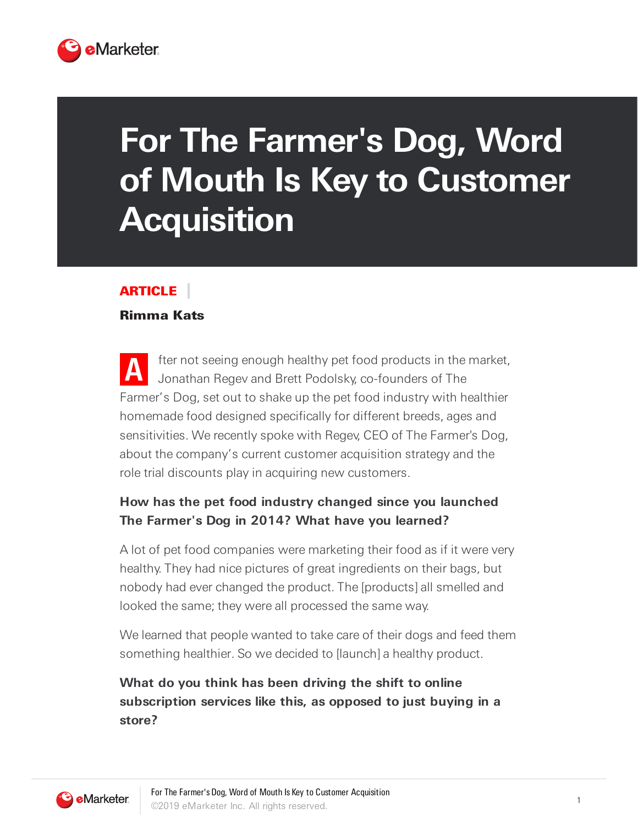

# **For The Farmer's Dog, Word of Mouth Is Key to Customer Acquisition**

### ARTICLE

#### Rimma Kats

**A** fter not seeing enough healthy pet food products in the market, Jonathan Regev and Brett Podolsky, co-founders of The Farmer's Dog, set out to shake up the pet food industry with healthier homemade food designed specifically for different breeds, ages and sensitivities. We recently spoke with Regev, CEO of The Farmer's Dog, about the company's current customer acquisition strategy and the role trial discounts play in acquiring new customers.

# **How has the pet food industry changed since you launched The Farmer's Dog in 2014? What have you learned?**

A lot of pet food companies were marketing their food as if it were very healthy. They had nice pictures of great ingredients on their bags, but nobody had ever changed the product. The [products] all smelled and looked the same; they were all processed the same way.

We learned that people wanted to take care of their dogs and feed them something healthier. So we decided to [launch] a healthy product.

**What do you think has been driving the shift to online subscription services like this, as opposed to just buying in a store?**

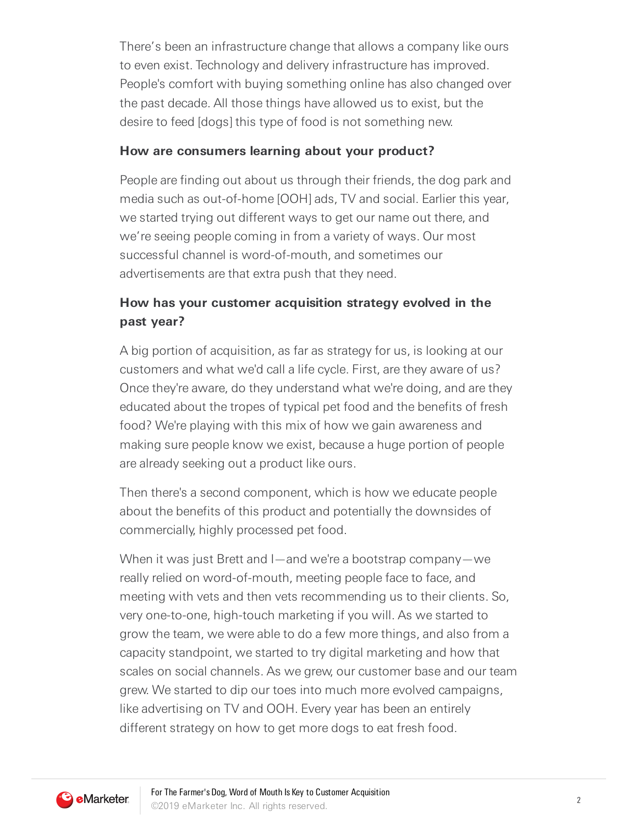There's been an infrastructure change that allows a company like ours to even exist. Technology and delivery infrastructure has improved. People's comfort with buying something online has also changed over the past decade. All those things have allowed us to exist, but the desire to feed [dogs] this type of food is not something new.

#### **How are consumers learning about your product?**

People are finding out about us through their friends, the dog park and media such as out-of-home [OOH] ads, TV and social. Earlier this year, we started trying out different ways to get our name out there, and we're seeing people coming in from a variety of ways. Our most successful channel is word-of-mouth, and sometimes our advertisements are that extra push that they need.

## **How has your customer acquisition strategy evolved in the past year?**

A big portion of acquisition, as far as strategy for us, is looking at our customers and what we'd call a life cycle. First, are they aware of us? Once they're aware, do they understand what we're doing, and are they educated about the tropes of typical pet food and the benefits of fresh food? We're playing with this mix of how we gain awareness and making sure people know we exist, because a huge portion of people are already seeking out a product like ours.

Then there's a second component, which is how we educate people about the benefits of this product and potentially the downsides of commercially, highly processed pet food.

When it was just Brett and I—and we're a bootstrap company—we really relied on word-of-mouth, meeting people face to face, and meeting with vets and then vets recommending us to their clients. So, very one-to-one, high-touch marketing if you will. As we started to grow the team, we were able to do a few more things, and also from a capacity standpoint, we started to try digital marketing and how that scales on social channels. As we grew, our customer base and our team grew. We started to dip our toes into much more evolved campaigns, like advertising on TV and OOH. Every year has been an entirely different strategy on how to get more dogs to eat fresh food.

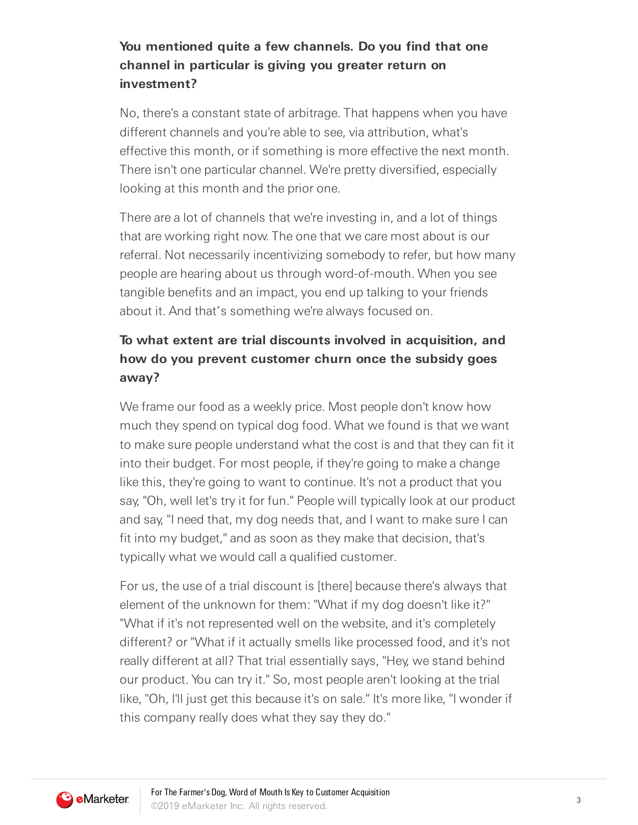## **You mentioned quite a few channels. Do you find that one channel in particular is giving you greater return on investment?**

No, there's a constant state of arbitrage. That happens when you have different channels and you're able to see, via attribution, what's effective this month, or if something is more effective the next month. There isn't one particular channel. We're pretty diversified, especially looking at this month and the prior one.

There are a lot of channels that we're investing in, and a lot of things that are working right now. The one that we care most about is our referral. Not necessarily incentivizing somebody to refer, but how many people are hearing about us through word-of-mouth. When you see tangible benefits and an impact, you end up talking to your friends about it. And that's something we're always focused on.

# **To what extent are trial discounts involved in acquisition, and how do you prevent customer churn once the subsidy goes away?**

We frame our food as a weekly price. Most people don't know how much they spend on typical dog food. What we found is that we want to make sure people understand what the cost is and that they can fit it into their budget. For most people, if they're going to make a change like this, they're going to want to continue. It's not a product that you say, "Oh, well let's try it for fun." People will typically look at our product and say, "I need that, my dog needs that, and I want to make sure I can fit into my budget," and as soon as they make that decision, that's typically what we would call a qualified customer.

For us, the use of a trial discount is [there] because there's always that element of the unknown for them: "What if my dog doesn't like it?" "What if it's not represented well on the website, and it's completely different? or "What if it actually smells like processed food, and it's not really different at all? That trial essentially says, "Hey, we stand behind our product. You can try it." So, most people aren't looking at the trial like, "Oh, I'll just get this because it's on sale." It's more like, "I wonder if this company really does what they say they do."